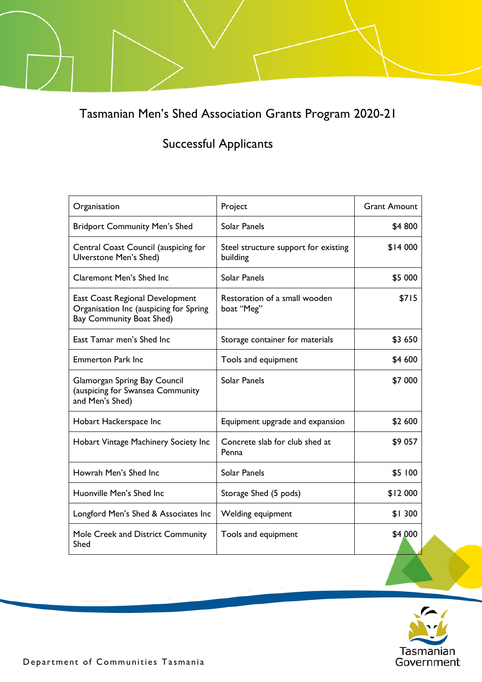Tasmanian Men's Shed Association Grants Program 2020-21

## Successful Applicants

| Organisation                                                                                                 | Project                                          | <b>Grant Amount</b> |
|--------------------------------------------------------------------------------------------------------------|--------------------------------------------------|---------------------|
| <b>Bridport Community Men's Shed</b>                                                                         | Solar Panels                                     | \$4 800             |
| Central Coast Council (auspicing for<br>Ulverstone Men's Shed)                                               | Steel structure support for existing<br>building | \$14 000            |
| <b>Claremont Men's Shed Inc</b>                                                                              | <b>Solar Panels</b>                              | \$5 000             |
| East Coast Regional Development<br>Organisation Inc (auspicing for Spring<br><b>Bay Community Boat Shed)</b> | Restoration of a small wooden<br>boat "Meg"      | \$715               |
| East Tamar men's Shed Inc                                                                                    | Storage container for materials                  | \$3 650             |
| <b>Emmerton Park Inc</b>                                                                                     | Tools and equipment                              | \$4 600             |
| Glamorgan Spring Bay Council<br>(auspicing for Swansea Community<br>and Men's Shed)                          | Solar Panels                                     | \$7 000             |
| Hobart Hackerspace Inc                                                                                       | Equipment upgrade and expansion                  | \$2 600             |
| Hobart Vintage Machinery Society Inc                                                                         | Concrete slab for club shed at<br>Penna          | \$9 057             |
| Howrah Men's Shed Inc                                                                                        | Solar Panels                                     | \$5 100             |
| Huonville Men's Shed Inc                                                                                     | Storage Shed (5 pods)                            | \$12 000            |
| Longford Men's Shed & Associates Inc                                                                         | Welding equipment                                | \$1300              |
| Mole Creek and District Community<br>Shed                                                                    | Tools and equipment                              | \$4,000             |